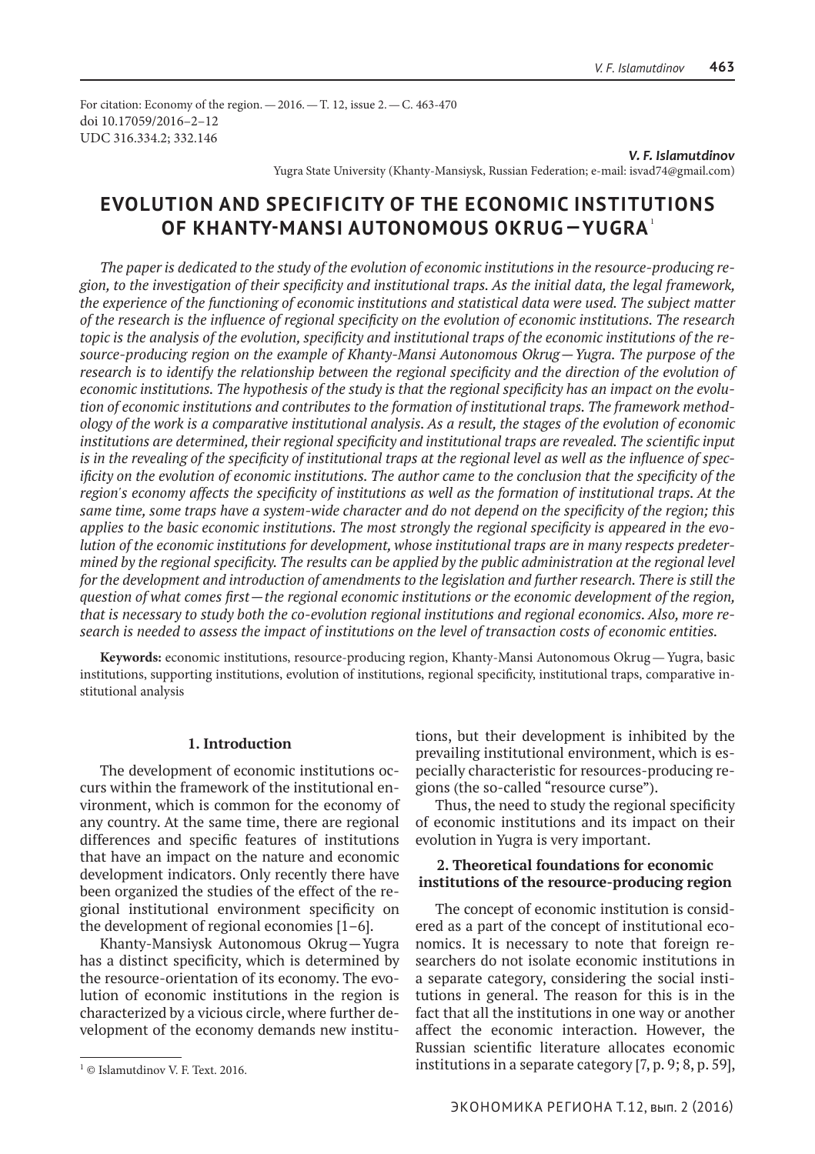For citation: Economy of the region.—2016.—Т. 12, issue 2.—С. 463-470 doi 10.17059/2016–2–12 UDC 316.334.2; 332.146

> *V. F. Islamutdinov* Yugra State University (Khanty-Mansiysk, Russian Federation; e-mail: isvad74@gmail.com)

# **Evolution and Specificity of the Economic Institutions of Khanty-Mansi Autonomous Okrug— Yugra**<sup>1</sup>

*The paper is dedicated to the study of the evolution of economic institutions in the resource-producing region, to the investigation of their specificity and institutional traps. As the initial data, the legal framework, the experience of the functioning of economic institutions and statistical data were used. The subject matter of the research is the influence of regional specificity on the evolution of economic institutions. The research topic is the analysis of the evolution, specificity and institutional traps of the economic institutions of the resource-producing region on the example of Khanty-Mansi Autonomous Okrug—Yugra. The purpose of the research is to identify the relationship between the regional specificity and the direction of the evolution of economic institutions. The hypothesis of the study is that the regional specificity has an impact on the evolution of economic institutions and contributes to the formation of institutional traps. The framework methodology of the work is a comparative institutional analysis. As a result, the stages of the evolution of economic*  institutions are determined, their regional specificity and institutional traps are revealed. The scientific input *is in the revealing of the specificity of institutional traps at the regional level as well as the influence of specificity on the evolution of economic institutions. The author came to the conclusion that the specificity of the region's economy affects the specificity of institutions as well as the formation of institutional traps. At the same time, some traps have a system-wide character and do not depend on the specificity of the region; this applies to the basic economic institutions. The most strongly the regional specificity is appeared in the evolution of the economic institutions for development, whose institutional traps are in many respects predetermined by the regional specificity. The results can be applied by the public administration at the regional level for the development and introduction of amendments to the legislation and further research. There is still the question of what comes first—the regional economic institutions or the economic development of the region, that is necessary to study both the co-evolution regional institutions and regional economics. Also, more research is needed to assess the impact of institutions on the level of transaction costs of economic entities.*

**Keywords:** economic institutions, resource-producing region, Khanty-Mansi Autonomous Okrug—Yugra, basic institutions, supporting institutions, evolution of institutions, regional specificity, institutional traps, comparative institutional analysis

### **1. Introduction**

The development of economic institutions occurs within the framework of the institutional environment, which is common for the economy of any country. At the same time, there are regional differences and specific features of institutions that have an impact on the nature and economic development indicators. Only recently there have been organized the studies of the effect of the regional institutional environment specificity on the development of regional economies [1–6].

Khanty-Mansiysk Autonomous Okrug—Yugra has a distinct specificity, which is determined by the resource-orientation of its economy. The evolution of economic institutions in the region is characterized by a vicious circle, where further development of the economy demands new institutions, but their development is inhibited by the prevailing institutional environment, which is especially characteristic for resources-producing regions (the so-called "resource curse").

Thus, the need to study the regional specificity of economic institutions and its impact on their evolution in Yugra is very important.

## **2. Theoretical foundations for economic institutions of the resource-producing region**

The concept of economic institution is considered as a part of the concept of institutional economics. It is necessary to note that foreign researchers do not isolate economic institutions in a separate category, considering the social institutions in general. The reason for this is in the fact that all the institutions in one way or another affect the economic interaction. However, the Russian scientific literature allocates economic institutions in a separate category [7, p. 9; 8, p. 59],

<sup>1</sup> © Islamutdinov V. F. Text. 2016.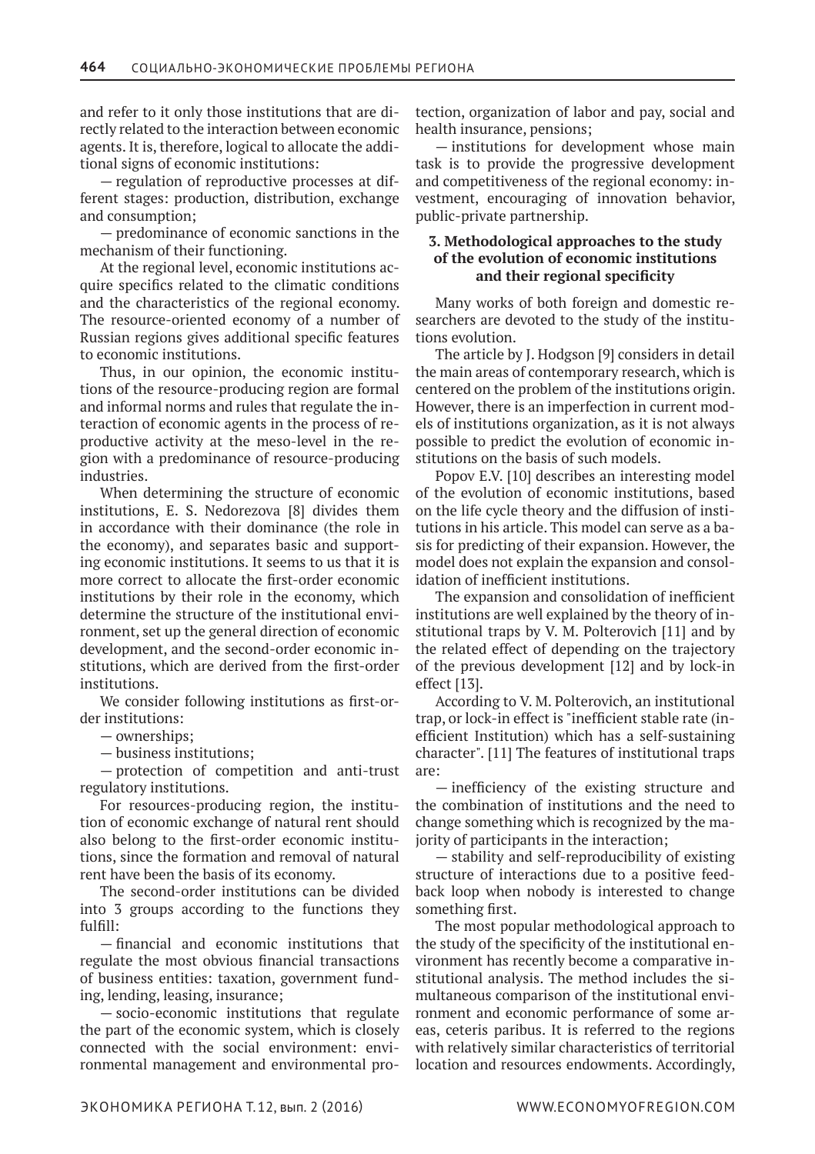and refer to it only those institutions that are directly related to the interaction between economic agents. It is, therefore, logical to allocate the additional signs of economic institutions:

— regulation of reproductive processes at different stages: production, distribution, exchange and consumption;

— predominance of economic sanctions in the mechanism of their functioning.

At the regional level, economic institutions acquire specifics related to the climatic conditions and the characteristics of the regional economy. The resource-oriented economy of a number of Russian regions gives additional specific features to economic institutions.

Thus, in our opinion, the economic institutions of the resource-producing region are formal and informal norms and rules that regulate the interaction of economic agents in the process of reproductive activity at the meso-level in the region with a predominance of resource-producing industries.

When determining the structure of economic institutions, E. S. Nedorezova [8] divides them in accordance with their dominance (the role in the economy), and separates basic and supporting economic institutions. It seems to us that it is more correct to allocate the first-order economic institutions by their role in the economy, which determine the structure of the institutional environment, set up the general direction of economic development, and the second-order economic institutions, which are derived from the first-order institutions.

We consider following institutions as first-order institutions:

— ownerships;

— business institutions;

— protection of competition and anti-trust regulatory institutions.

For resources-producing region, the institution of economic exchange of natural rent should also belong to the first-order economic institutions, since the formation and removal of natural rent have been the basis of its economy.

The second-order institutions can be divided into 3 groups according to the functions they fulfill:

— financial and economic institutions that regulate the most obvious financial transactions of business entities: taxation, government funding, lending, leasing, insurance;

— socio-economic institutions that regulate the part of the economic system, which is closely connected with the social environment: environmental management and environmental protection, organization of labor and pay, social and health insurance, pensions;

— institutions for development whose main task is to provide the progressive development and competitiveness of the regional economy: investment, encouraging of innovation behavior, public-private partnership.

# **3. Methodological approaches to the study of the evolution of economic institutions and their regional specificity**

Many works of both foreign and domestic researchers are devoted to the study of the institutions evolution.

The article by J. Hodgson [9] considers in detail the main areas of contemporary research, which is centered on the problem of the institutions origin. However, there is an imperfection in current models of institutions organization, as it is not always possible to predict the evolution of economic institutions on the basis of such models.

Popov E.V. [10] describes an interesting model of the evolution of economic institutions, based on the life cycle theory and the diffusion of institutions in his article. This model can serve as a basis for predicting of their expansion. However, the model does not explain the expansion and consolidation of inefficient institutions.

The expansion and consolidation of inefficient institutions are well explained by the theory of institutional traps by V. M. Polterovich [11] and by the related effect of depending on the trajectory of the previous development [12] and by lock-in effect [13].

According to V. M. Polterovich, an institutional trap, or lock-in effect is "inefficient stable rate (inefficient Institution) which has a self-sustaining character". [11] The features of institutional traps are:

— inefficiency of the existing structure and the combination of institutions and the need to change something which is recognized by the majority of participants in the interaction;

— stability and self-reproducibility of existing structure of interactions due to a positive feedback loop when nobody is interested to change something first.

The most popular methodological approach to the study of the specificity of the institutional environment has recently become a comparative institutional analysis. The method includes the simultaneous comparison of the institutional environment and economic performance of some areas, ceteris paribus. It is referred to the regions with relatively similar characteristics of territorial location and resources endowments. Accordingly,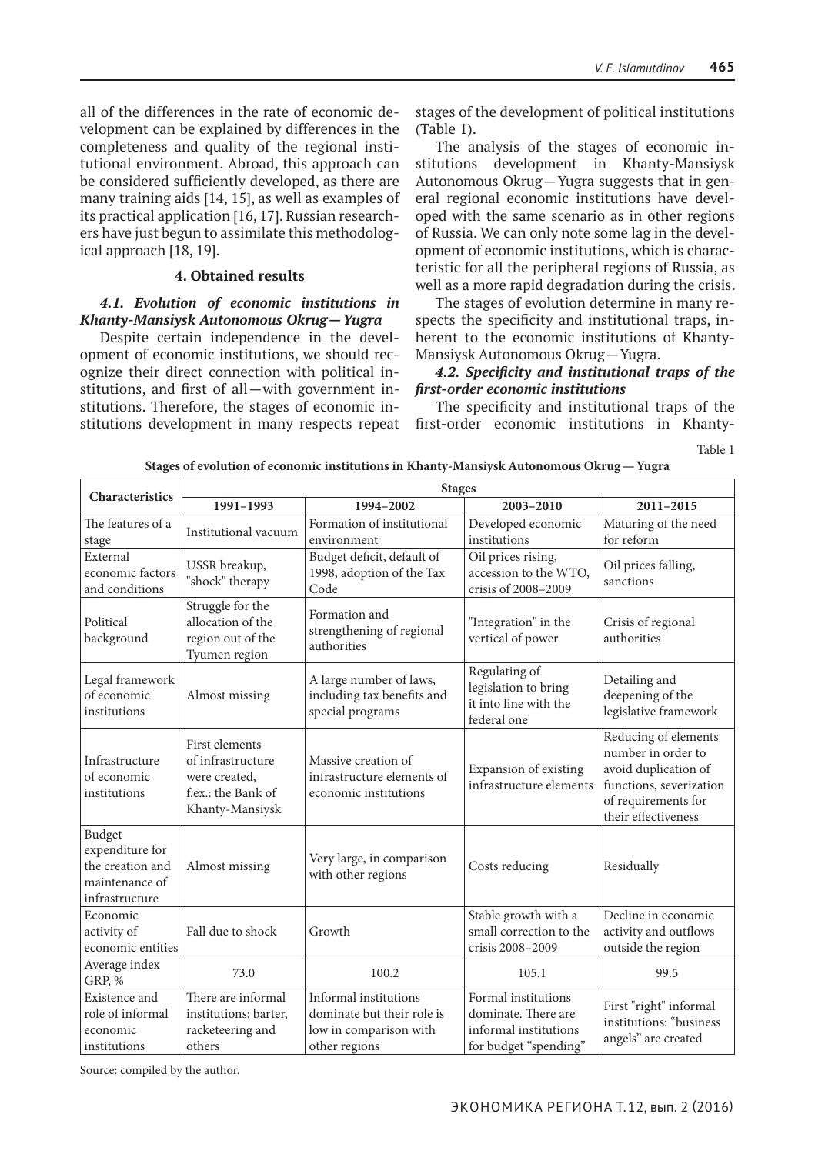all of the differences in the rate of economic development can be explained by differences in the completeness and quality of the regional institutional environment. Abroad, this approach can be considered sufficiently developed, as there are many training aids [14, 15], as well as examples of its practical application [16, 17]. Russian researchers have just begun to assimilate this methodological approach [18, 19].

# **4. Obtained results**

## *4.1. Evolution of economic institutions in Khanty-Mansiysk Autonomous Okrug—Yugra*

Despite certain independence in the development of economic institutions, we should recognize their direct connection with political institutions, and first of all—with government institutions. Therefore, the stages of economic institutions development in many respects repeat stages of the development of political institutions (Table 1).

The analysis of the stages of economic institutions development in Khanty-Mansiysk Autonomous Okrug—Yugra suggests that in general regional economic institutions have developed with the same scenario as in other regions of Russia. We can only note some lag in the development of economic institutions, which is characteristic for all the peripheral regions of Russia, as well as a more rapid degradation during the crisis.

The stages of evolution determine in many respects the specificity and institutional traps, inherent to the economic institutions of Khanty-Mansiysk Autonomous Okrug—Yugra.

## *4.2. Specificity and institutional traps of the first-order economic institutions*

The specificity and institutional traps of the first-order economic institutions in Khanty-

Table 1

|                                                                                   | <b>Stages</b>                                                                                 |                                                                                                |                                                                                              |                                                                                                                                             |  |
|-----------------------------------------------------------------------------------|-----------------------------------------------------------------------------------------------|------------------------------------------------------------------------------------------------|----------------------------------------------------------------------------------------------|---------------------------------------------------------------------------------------------------------------------------------------------|--|
| Characteristics                                                                   | 1991-1993                                                                                     | 1994-2002                                                                                      | 2003-2010                                                                                    | 2011-2015                                                                                                                                   |  |
| The features of a<br>stage                                                        | Institutional vacuum                                                                          | Formation of institutional<br>environment                                                      | Developed economic<br>institutions                                                           | Maturing of the need<br>for reform                                                                                                          |  |
| External<br>economic factors<br>and conditions                                    | USSR breakup,<br>"shock" therapy                                                              | Budget deficit, default of<br>1998, adoption of the Tax<br>Code                                | Oil prices rising,<br>accession to the WTO,<br>crisis of 2008-2009                           | Oil prices falling,<br>sanctions                                                                                                            |  |
| Political<br>background                                                           | Struggle for the<br>allocation of the<br>region out of the<br>Tyumen region                   | Formation and<br>strengthening of regional<br>authorities                                      | "Integration" in the<br>vertical of power                                                    | Crisis of regional<br>authorities                                                                                                           |  |
| Legal framework<br>of economic<br>institutions                                    | Almost missing                                                                                | A large number of laws,<br>including tax benefits and<br>special programs                      | Regulating of<br>legislation to bring<br>it into line with the<br>federal one                | Detailing and<br>deepening of the<br>legislative framework                                                                                  |  |
| Infrastructure<br>of economic<br>institutions                                     | First elements<br>of infrastructure<br>were created,<br>f.ex.: the Bank of<br>Khanty-Mansiysk | Massive creation of<br>infrastructure elements of<br>economic institutions                     | Expansion of existing<br>infrastructure elements                                             | Reducing of elements<br>number in order to<br>avoid duplication of<br>functions, severization<br>of requirements for<br>their effectiveness |  |
| Budget<br>expenditure for<br>the creation and<br>maintenance of<br>infrastructure | Almost missing                                                                                | Very large, in comparison<br>with other regions                                                | Costs reducing                                                                               | Residually                                                                                                                                  |  |
| Economic<br>activity of<br>economic entities                                      | Fall due to shock                                                                             | Growth                                                                                         | Stable growth with a<br>small correction to the<br>crisis 2008-2009                          | Decline in economic<br>activity and outflows<br>outside the region                                                                          |  |
| Average index<br>GRP, %                                                           | 73.0                                                                                          | 100.2                                                                                          | 105.1                                                                                        | 99.5                                                                                                                                        |  |
| Existence and<br>role of informal<br>economic<br>institutions                     | There are informal<br>institutions: barter,<br>racketeering and<br>others                     | Informal institutions<br>dominate but their role is<br>low in comparison with<br>other regions | Formal institutions<br>dominate. There are<br>informal institutions<br>for budget "spending" | First "right" informal<br>institutions: "business<br>angels" are created                                                                    |  |

**Stages of evolution of economic institutions in Khanty-Mansiysk Autonomous Okrug—Yugra**

Source: compiled by the author.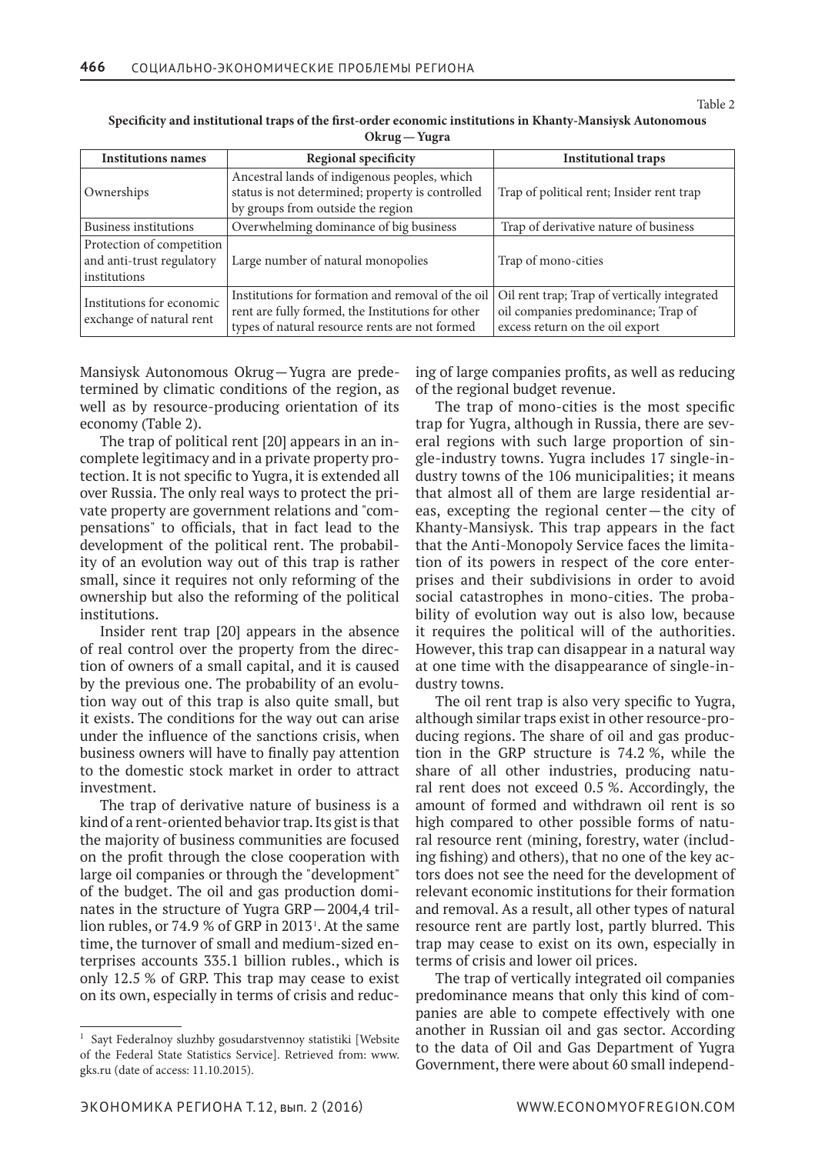| <b>Institutions names</b>                                              | <b>Regional specificity</b>                                                                                                                              | <b>Institutional traps</b>                                                                                             |
|------------------------------------------------------------------------|----------------------------------------------------------------------------------------------------------------------------------------------------------|------------------------------------------------------------------------------------------------------------------------|
| Ownerships                                                             | Ancestral lands of indigenous peoples, which<br>status is not determined; property is controlled<br>by groups from outside the region                    | Trap of political rent; Insider rent trap                                                                              |
| Business institutions                                                  | Overwhelming dominance of big business                                                                                                                   | Trap of derivative nature of business                                                                                  |
| Protection of competition<br>and anti-trust regulatory<br>institutions | Large number of natural monopolies                                                                                                                       | Trap of mono-cities                                                                                                    |
| Institutions for economic<br>exchange of natural rent                  | Institutions for formation and removal of the oil<br>rent are fully formed, the Institutions for other<br>types of natural resource rents are not formed | Oil rent trap; Trap of vertically integrated<br>oil companies predominance; Trap of<br>excess return on the oil export |

**Specificity and institutional traps of the first-order economic institutions in Khanty-Mansiysk Autonomous Okrug—Yugra**

Mansiysk Autonomous Okrug—Yugra are predetermined by climatic conditions of the region, as well as by resource-producing orientation of its economy (Table 2).

The trap of political rent [20] appears in an incomplete legitimacy and in a private property protection. It is not specific to Yugra, it is extended all over Russia. The only real ways to protect the private property are government relations and "compensations" to officials, that in fact lead to the development of the political rent. The probability of an evolution way out of this trap is rather small, since it requires not only reforming of the ownership but also the reforming of the political institutions.

Insider rent trap [20] appears in the absence of real control over the property from the direction of owners of a small capital, and it is caused by the previous one. The probability of an evolution way out of this trap is also quite small, but it exists. The conditions for the way out can arise under the influence of the sanctions crisis, when business owners will have to finally pay attention to the domestic stock market in order to attract investment.

The trap of derivative nature of business is a kind of a rent-oriented behavior trap. Its gist is that the majority of business communities are focused on the profit through the close cooperation with large oil companies or through the "development" of the budget. The oil and gas production dominates in the structure of Yugra GRP—2004,4 trillion rubles, or  $74.9\%$  of GRP in  $2013$ <sup>1</sup>. At the same time, the turnover of small and medium-sized enterprises accounts 335.1 billion rubles., which is only 12.5 % of GRP. This trap may cease to exist on its own, especially in terms of crisis and reducing of large companies profits, as well as reducing of the regional budget revenue.

The trap of mono-cities is the most specific trap for Yugra, although in Russia, there are several regions with such large proportion of single-industry towns. Yugra includes 17 single-industry towns of the 106 municipalities; it means that almost all of them are large residential areas, excepting the regional center—the city of Khanty-Mansiysk. This trap appears in the fact that the Anti-Monopoly Service faces the limitation of its powers in respect of the core enterprises and their subdivisions in order to avoid social catastrophes in mono-cities. The probability of evolution way out is also low, because it requires the political will of the authorities. However, this trap can disappear in a natural way at one time with the disappearance of single-industry towns.

The oil rent trap is also very specific to Yugra, although similar traps exist in other resource-producing regions. The share of oil and gas production in the GRP structure is 74.2 %, while the share of all other industries, producing natural rent does not exceed 0.5 %. Accordingly, the amount of formed and withdrawn oil rent is so high compared to other possible forms of natural resource rent (mining, forestry, water (including fishing) and others), that no one of the key actors does not see the need for the development of relevant economic institutions for their formation and removal. As a result, all other types of natural resource rent are partly lost, partly blurred. This trap may cease to exist on its own, especially in terms of crisis and lower oil prices.

The trap of vertically integrated oil companies predominance means that only this kind of companies are able to compete effectively with one another in Russian oil and gas sector. According to the data of Oil and Gas Department of Yugra Government, there were about 60 small independ-

<sup>1</sup> Sayt Federalnoy sluzhby gosudarstvennoy statistiki [Website of the Federal State Statistics Service]. Retrieved from: www. gks.ru (date of access: 11.10.2015).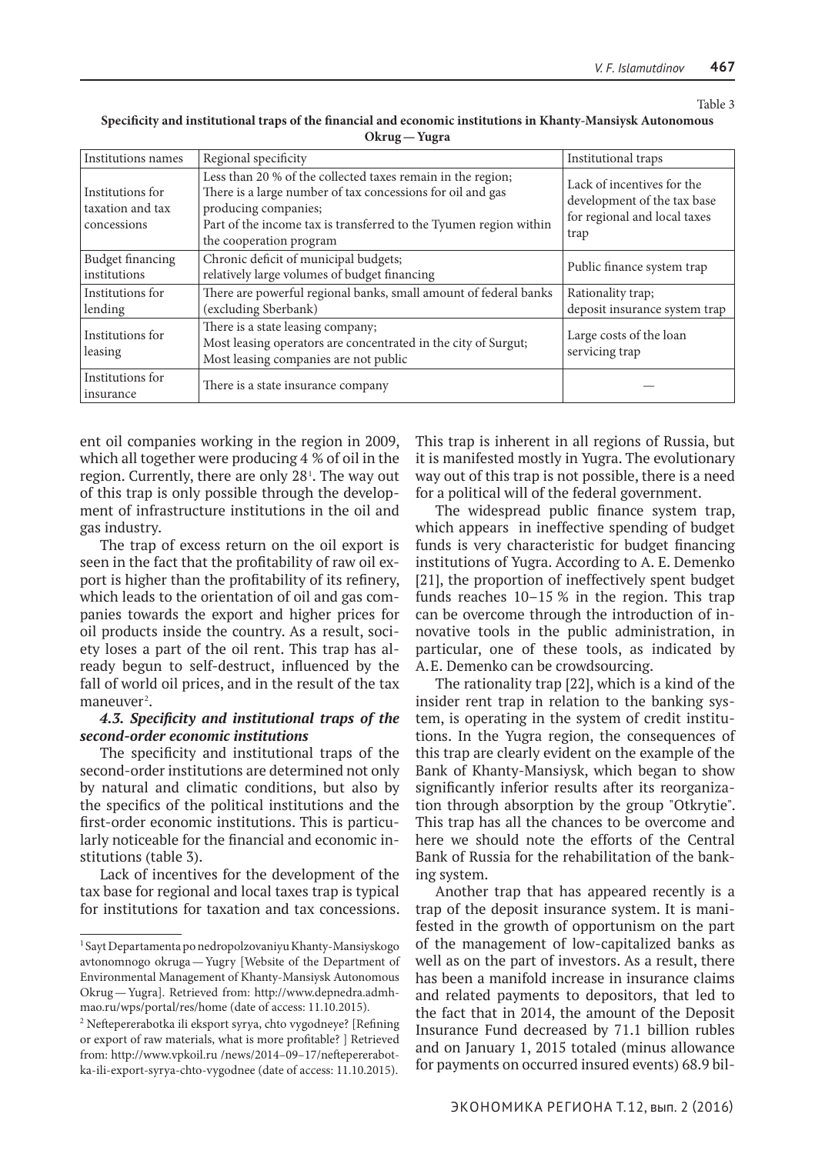| Institutions names                                  | Regional specificity                                                                                                                                                                                                                              | Institutional traps                                                                               |
|-----------------------------------------------------|---------------------------------------------------------------------------------------------------------------------------------------------------------------------------------------------------------------------------------------------------|---------------------------------------------------------------------------------------------------|
| Institutions for<br>taxation and tax<br>concessions | Less than 20 % of the collected taxes remain in the region;<br>There is a large number of tax concessions for oil and gas<br>producing companies;<br>Part of the income tax is transferred to the Tyumen region within<br>the cooperation program | Lack of incentives for the<br>development of the tax base<br>for regional and local taxes<br>trap |
| Budget financing<br>institutions                    | Chronic deficit of municipal budgets;<br>relatively large volumes of budget financing                                                                                                                                                             | Public finance system trap                                                                        |
| Institutions for<br>lending                         | There are powerful regional banks, small amount of federal banks<br>(excluding Sberbank)                                                                                                                                                          | Rationality trap;<br>deposit insurance system trap                                                |
| Institutions for<br>leasing                         | There is a state leasing company;<br>Most leasing operators are concentrated in the city of Surgut;<br>Most leasing companies are not public                                                                                                      | Large costs of the loan<br>servicing trap                                                         |
| Institutions for<br>insurance                       | There is a state insurance company                                                                                                                                                                                                                |                                                                                                   |

**Specificity and institutional traps of the financial and economic institutions in Khanty-Mansiysk Autonomous Okrug—Yugra**

ent oil companies working in the region in 2009, which all together were producing 4 % of oil in the region. Currently, there are only 28<sup>1</sup> . The way out of this trap is only possible through the development of infrastructure institutions in the oil and gas industry.

The trap of excess return on the oil export is seen in the fact that the profitability of raw oil export is higher than the profitability of its refinery, which leads to the orientation of oil and gas companies towards the export and higher prices for oil products inside the country. As a result, society loses a part of the oil rent. This trap has already begun to self-destruct, influenced by the fall of world oil prices, and in the result of the tax  $m$ aneuver<sup>2</sup>.

# *4.3. Specificity and institutional traps of the second-order economic institutions*

The specificity and institutional traps of the second-order institutions are determined not only by natural and climatic conditions, but also by the specifics of the political institutions and the first-order economic institutions. This is particularly noticeable for the financial and economic institutions (table 3).

Lack of incentives for the development of the tax base for regional and local taxes trap is typical for institutions for taxation and tax concessions. This trap is inherent in all regions of Russia, but it is manifested mostly in Yugra. The evolutionary way out of this trap is not possible, there is a need for a political will of the federal government.

The widespread public finance system trap, which appears in ineffective spending of budget funds is very characteristic for budget financing institutions of Yugra. According to A. E. Demenko [21], the proportion of ineffectively spent budget funds reaches 10–15 % in the region. This trap can be overcome through the introduction of innovative tools in the public administration, in particular, one of these tools, as indicated by A.E. Demenko can be crowdsourcing.

The rationality trap [22], which is a kind of the insider rent trap in relation to the banking system, is operating in the system of credit institutions. In the Yugra region, the consequences of this trap are clearly evident on the example of the Bank of Khanty-Mansiysk, which began to show significantly inferior results after its reorganization through absorption by the group "Otkrytie". This trap has all the chances to be overcome and here we should note the efforts of the Central Bank of Russia for the rehabilitation of the banking system.

Another trap that has appeared recently is a trap of the deposit insurance system. It is manifested in the growth of opportunism on the part of the management of low-capitalized banks as well as on the part of investors. As a result, there has been a manifold increase in insurance claims and related payments to depositors, that led to the fact that in 2014, the amount of the Deposit Insurance Fund decreased by 71.1 billion rubles and on January 1, 2015 totaled (minus allowance for payments on occurred insured events) 68.9 bil-

<sup>1</sup> Sayt Departamenta po nedropolzovaniyu Khanty-Mansiyskogo avtonomnogo okruga—Yugry [Website of the Department of Environmental Management of Khanty-Mansiysk Autonomous Okrug—Yugra]. Retrieved from: http://www.depnedra.admhmao.ru/wps/portal/res/home (date of access: 11.10.2015).

<sup>2</sup> Neftepererabotka ili eksport syrya, chto vygodneye? [Refining or export of raw materials, what is more profitable? ] Retrieved from: http://www.vpkoil.ru /news/2014–09–17/neftepererabotka-ili-export-syrya-chto-vygodnee (date of access: 11.10.2015).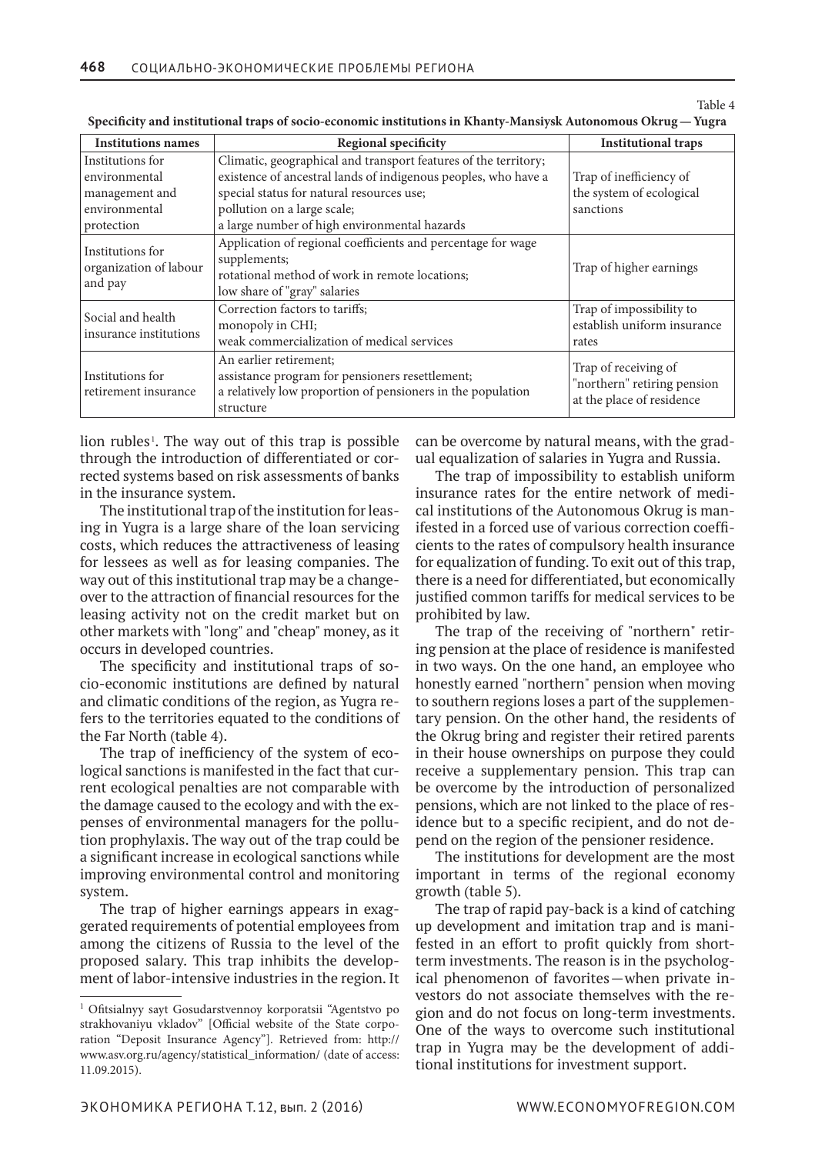| <b>Institutions names</b>                                                          | Regional specificity                                                                                                                                                                                                                                          | <b>Institutional traps</b>                                                       |
|------------------------------------------------------------------------------------|---------------------------------------------------------------------------------------------------------------------------------------------------------------------------------------------------------------------------------------------------------------|----------------------------------------------------------------------------------|
| Institutions for<br>environmental<br>management and<br>environmental<br>protection | Climatic, geographical and transport features of the territory;<br>existence of ancestral lands of indigenous peoples, who have a<br>special status for natural resources use;<br>pollution on a large scale;<br>a large number of high environmental hazards | Trap of inefficiency of<br>the system of ecological<br>sanctions                 |
| Institutions for<br>organization of labour<br>and pay                              | Application of regional coefficients and percentage for wage<br>supplements;<br>rotational method of work in remote locations;<br>low share of "gray" salaries                                                                                                | Trap of higher earnings                                                          |
| Social and health<br>insurance institutions                                        | Correction factors to tariffs;<br>monopoly in CHI;<br>weak commercialization of medical services                                                                                                                                                              | Trap of impossibility to<br>establish uniform insurance<br>rates                 |
| Institutions for<br>retirement insurance                                           | An earlier retirement;<br>assistance program for pensioners resettlement;<br>a relatively low proportion of pensioners in the population<br>structure                                                                                                         | Trap of receiving of<br>"northern" retiring pension<br>at the place of residence |

**Specificity and institutional traps of socio-economic institutions in Khanty-Mansiysk Autonomous Okrug—Yugra**

lion rubles<sup>1</sup>. The way out of this trap is possible through the introduction of differentiated or corrected systems based on risk assessments of banks in the insurance system.

The institutional trap of the institution for leasing in Yugra is a large share of the loan servicing costs, which reduces the attractiveness of leasing for lessees as well as for leasing companies. The way out of this institutional trap may be a changeover to the attraction of financial resources for the leasing activity not on the credit market but on other markets with "long" and "cheap" money, as it occurs in developed countries.

The specificity and institutional traps of socio-economic institutions are defined by natural and climatic conditions of the region, as Yugra refers to the territories equated to the conditions of the Far North (table 4).

The trap of inefficiency of the system of ecological sanctions is manifested in the fact that current ecological penalties are not comparable with the damage caused to the ecology and with the expenses of environmental managers for the pollution prophylaxis. The way out of the trap could be a significant increase in ecological sanctions while improving environmental control and monitoring system.

The trap of higher earnings appears in exaggerated requirements of potential employees from among the citizens of Russia to the level of the proposed salary. This trap inhibits the development of labor-intensive industries in the region. It can be overcome by natural means, with the gradual equalization of salaries in Yugra and Russia.

The trap of impossibility to establish uniform insurance rates for the entire network of medical institutions of the Autonomous Okrug is manifested in a forced use of various correction coefficients to the rates of compulsory health insurance for equalization of funding. To exit out of this trap, there is a need for differentiated, but economically justified common tariffs for medical services to be prohibited by law.

The trap of the receiving of "northern" retiring pension at the place of residence is manifested in two ways. On the one hand, an employee who honestly earned "northern" pension when moving to southern regions loses a part of the supplementary pension. On the other hand, the residents of the Okrug bring and register their retired parents in their house ownerships on purpose they could receive a supplementary pension. This trap can be overcome by the introduction of personalized pensions, which are not linked to the place of residence but to a specific recipient, and do not depend on the region of the pensioner residence.

The institutions for development are the most important in terms of the regional economy growth (table 5).

The trap of rapid pay-back is a kind of catching up development and imitation trap and is manifested in an effort to profit quickly from shortterm investments. The reason is in the psychological phenomenon of favorites—when private investors do not associate themselves with the region and do not focus on long-term investments. One of the ways to overcome such institutional trap in Yugra may be the development of additional institutions for investment support.

<sup>1</sup> Ofitsialnyy sayt Gosudarstvennoy korporatsii "Agentstvo po strakhovaniyu vkladov" [Official website of the State corporation "Deposit Insurance Agency"]. Retrieved from: http:// www.asv.org.ru/agency/statistical\_information/ (date of access: 11.09.2015).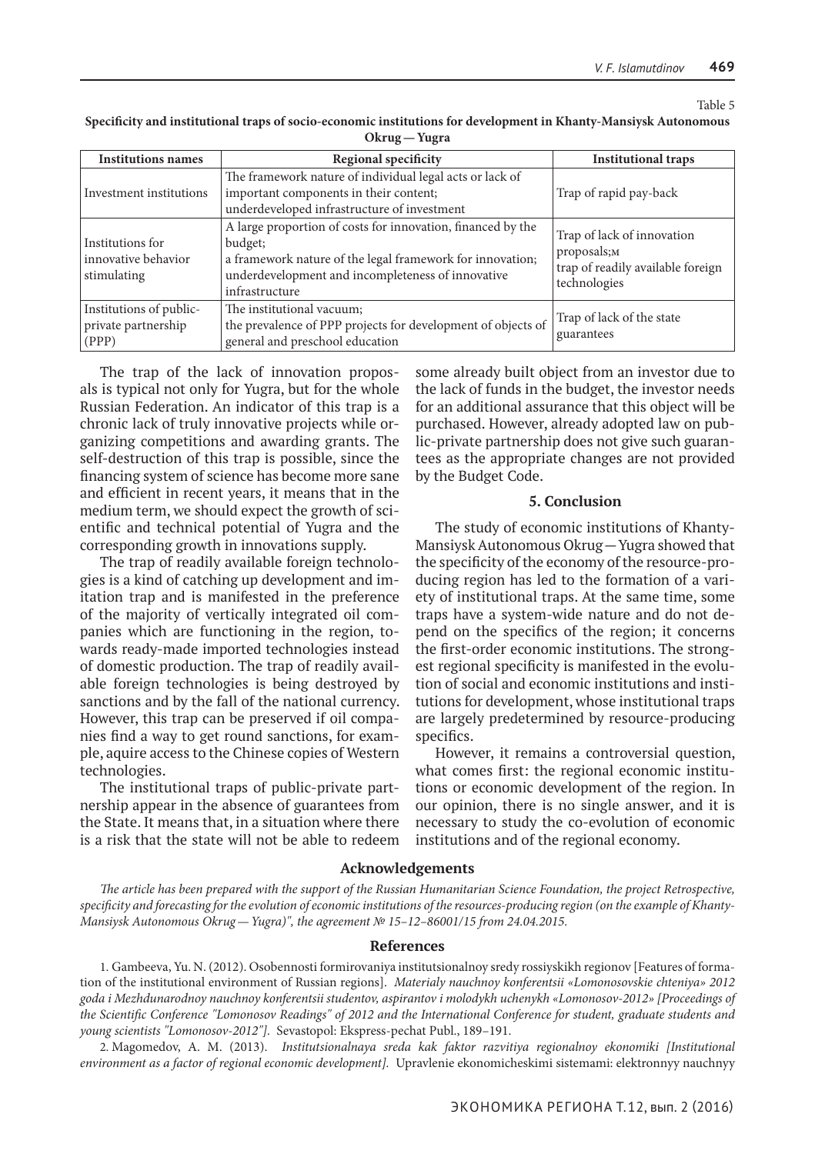| <b>Institutions names</b>                                 | <b>Regional specificity</b>                                                                                                                                                                                | <b>Institutional traps</b>                                                                     |
|-----------------------------------------------------------|------------------------------------------------------------------------------------------------------------------------------------------------------------------------------------------------------------|------------------------------------------------------------------------------------------------|
| Investment institutions                                   | The framework nature of individual legal acts or lack of<br>important components in their content;<br>underdeveloped infrastructure of investment                                                          | Trap of rapid pay-back                                                                         |
| Institutions for<br>innovative behavior<br>stimulating    | A large proportion of costs for innovation, financed by the<br>budget;<br>a framework nature of the legal framework for innovation;<br>underdevelopment and incompleteness of innovative<br>infrastructure | Trap of lack of innovation<br>proposals;M<br>trap of readily available foreign<br>technologies |
| Institutions of public-<br>private partnership<br>  (PPP) | The institutional vacuum;<br>the prevalence of PPP projects for development of objects of<br>general and preschool education                                                                               | Trap of lack of the state<br>guarantees                                                        |

**Specificity and institutional traps of socio-economic institutions for development in Khanty-Mansiysk Autonomous Okrug—Yugra**

The trap of the lack of innovation proposals is typical not only for Yugra, but for the whole Russian Federation. An indicator of this trap is a chronic lack of truly innovative projects while organizing competitions and awarding grants. The self-destruction of this trap is possible, since the financing system of science has become more sane and efficient in recent years, it means that in the medium term, we should expect the growth of scientific and technical potential of Yugra and the corresponding growth in innovations supply.

The trap of readily available foreign technologies is a kind of catching up development and imitation trap and is manifested in the preference of the majority of vertically integrated oil companies which are functioning in the region, towards ready-made imported technologies instead of domestic production. The trap of readily available foreign technologies is being destroyed by sanctions and by the fall of the national currency. However, this trap can be preserved if oil companies find a way to get round sanctions, for example, aquire access to the Chinese copies of Western technologies.

The institutional traps of public-private partnership appear in the absence of guarantees from the State. It means that, in a situation where there is a risk that the state will not be able to redeem

some already built object from an investor due to the lack of funds in the budget, the investor needs for an additional assurance that this object will be purchased. However, already adopted law on public-private partnership does not give such guarantees as the appropriate changes are not provided by the Budget Code.

#### **5. Conclusion**

The study of economic institutions of Khanty-Mansiysk Autonomous Okrug—Yugra showed that the specificity of the economy of the resource-producing region has led to the formation of a variety of institutional traps. At the same time, some traps have a system-wide nature and do not depend on the specifics of the region; it concerns the first-order economic institutions. The strongest regional specificity is manifested in the evolution of social and economic institutions and institutions for development, whose institutional traps are largely predetermined by resource-producing specifics.

However, it remains a controversial question, what comes first: the regional economic institutions or economic development of the region. In our opinion, there is no single answer, and it is necessary to study the co-evolution of economic institutions and of the regional economy.

#### **Acknowledgements**

*The article has been prepared with the support of the Russian Humanitarian Science Foundation, the project Retrospective, specificity and forecasting for the evolution of economic institutions of the resources-producing region (on the example of Khanty-Mansiysk Autonomous Okrug—Yugra)", the agreement № 15–12–86001/15 from 24.04.2015.*

#### **References**

1. Gambeeva, Yu. N. (2012). Osobennosti formirovaniya institutsionalnoy sredy rossiyskikh regionov [Features of formation of the institutional environment of Russian regions].  *Materialy nauchnoy konferentsii «Lomonosovskie chteniya» 2012 goda i Mezhdunarodnoy nauchnoy konferentsii studentov, aspirantov i molodykh uchenykh «Lomonosov-2012» [Proceedings of the Scientific Conference "Lomonosov Readings" of 2012 and the International Conference for student, graduate students and young scientists "Lomonosov-2012"].*  Sevastopol: Ekspress-pechat Publ., 189–191.

2. Magomedov, A. M. (2013).  *Institutsionalnaya sreda kak faktor razvitiya regionalnoy ekonomiki [Institutional environment as a factor of regional economic development].*  Upravlenie ekonomicheskimi sistemami: elektronnyy nauchnyy